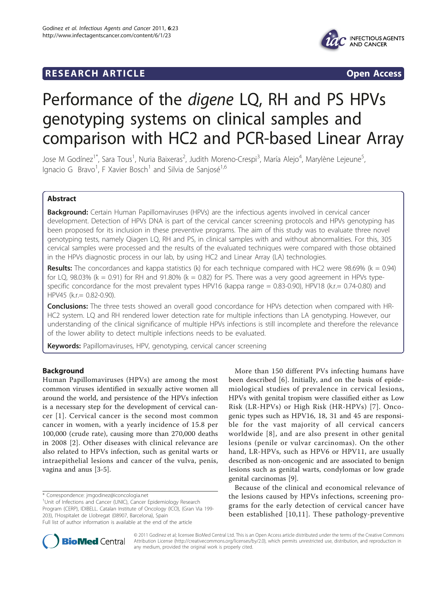# **RESEARCH ARTICLE Example 2018 CONSIDERING ACCESS**



# Performance of the digene LQ, RH and PS HPVs genotyping systems on clinical samples and comparison with HC2 and PCR-based Linear Array

Jose M Godínez<sup>1\*</sup>, Sara Tous<sup>1</sup>, Nuria Baixeras<sup>2</sup>, Judith Moreno-Crespi<sup>3</sup>, María Alejo<sup>4</sup>, Marylène Lejeune<sup>5</sup> , Ignacio G Bravo<sup>1</sup>, F Xavier Bosch<sup>1</sup> and Silvia de Sanjosé<sup>1,6</sup>

# Abstract

**Background:** Certain Human Papillomaviruses (HPVs) are the infectious agents involved in cervical cancer development. Detection of HPVs DNA is part of the cervical cancer screening protocols and HPVs genotyping has been proposed for its inclusion in these preventive programs. The aim of this study was to evaluate three novel genotyping tests, namely Qiagen LQ, RH and PS, in clinical samples with and without abnormalities. For this, 305 cervical samples were processed and the results of the evaluated techniques were compared with those obtained in the HPVs diagnostic process in our lab, by using HC2 and Linear Array (LA) technologies.

**Results:** The concordances and kappa statistics (k) for each technique compared with HC2 were 98.69% (k = 0.94) for LQ, 98.03% ( $k = 0.91$ ) for RH and 91.80% ( $k = 0.82$ ) for PS. There was a very good agreement in HPVs typespecific concordance for the most prevalent types HPV16 (kappa range = 0.83-0.90), HPV18 (k.r.= 0.74-0.80) and HPV45 (k.r.= 0.82-0.90).

**Conclusions:** The three tests showed an overall good concordance for HPVs detection when compared with HR-HC2 system. LQ and RH rendered lower detection rate for multiple infections than LA genotyping. However, our understanding of the clinical significance of multiple HPVs infections is still incomplete and therefore the relevance of the lower ability to detect multiple infections needs to be evaluated.

Keywords: Papillomaviruses, HPV, genotyping, cervical cancer screening

# Background

Human Papillomaviruses (HPVs) are among the most common viruses identified in sexually active women all around the world, and persistence of the HPVs infection is a necessary step for the development of cervical cancer [\[1\]](#page-8-0). Cervical cancer is the second most common cancer in women, with a yearly incidence of 15.8 per 100,000 (crude rate), causing more than 270,000 deaths in 2008 [[2](#page-8-0)]. Other diseases with clinical relevance are also related to HPVs infection, such as genital warts or intraepithelial lesions and cancer of the vulva, penis, vagina and anus [\[3](#page-8-0)-[5\]](#page-8-0).

\* Correspondence: [jmgodinez@iconcologia.net](mailto:jmgodinez@iconcologia.net)

More than 150 different PVs infecting humans have been described [[6\]](#page-8-0). Initially, and on the basis of epidemiological studies of prevalence in cervical lesions, HPVs with genital tropism were classified either as Low Risk (LR-HPVs) or High Risk (HR-HPVs) [[7\]](#page-8-0). Oncogenic types such as HPV16, 18, 31 and 45 are responsible for the vast majority of all cervical cancers worldwide [[8\]](#page-8-0), and are also present in other genital lesions (penile or vulvar carcinomas). On the other hand, LR-HPVs, such as HPV6 or HPV11, are usually described as non-oncogenic and are associated to benign lesions such as genital warts, condylomas or low grade genital carcinomas [\[9](#page-8-0)].

Because of the clinical and economical relevance of the lesions caused by HPVs infections, screening programs for the early detection of cervical cancer have been established [[10,11\]](#page-8-0). These pathology-preventive



© 2011 Godínez et al; licensee BioMed Central Ltd. This is an Open Access article distributed under the terms of the Creative Commons Attribution License [\(http://creativecommons.org/licenses/by/2.0](http://creativecommons.org/licenses/by/2.0)), which permits unrestricted use, distribution, and reproduction in any medium, provided the original work is properly cited.

<sup>&</sup>lt;sup>1</sup>Unit of Infections and Cancer (UNIC), Cancer Epidemiology Research Program (CERP), IDIBELL. Catalan Institute of Oncology (ICO), (Gran Via 199- 203), l'Hospitalet de Llobregat (08907, Barcelona), Spain

Full list of author information is available at the end of the article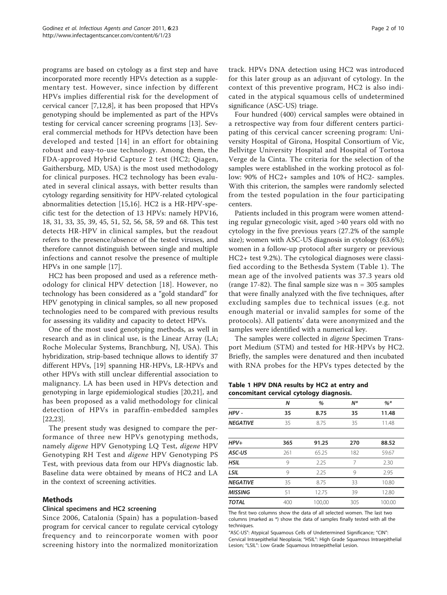programs are based on cytology as a first step and have incorporated more recently HPVs detection as a supplementary test. However, since infection by different HPVs implies differential risk for the development of cervical cancer [\[7](#page-8-0),[12,8\]](#page-8-0), it has been proposed that HPVs genotyping should be implemented as part of the HPVs testing for cervical cancer screening programs [\[13](#page-8-0)]. Several commercial methods for HPVs detection have been developed and tested [[14\]](#page-8-0) in an effort for obtaining robust and easy-to-use technology. Among them, the FDA-approved Hybrid Capture 2 test (HC2; Qiagen, Gaithersburg, MD, USA) is the most used methodology for clinical purposes. HC2 technology has been evaluated in several clinical assays, with better results than cytology regarding sensitivity for HPV-related cytological abnormalities detection [\[15,16](#page-8-0)]. HC2 is a HR-HPV-specific test for the detection of 13 HPVs: namely HPV16, 18, 31, 33, 35, 39, 45, 51, 52, 56, 58, 59 and 68. This test detects HR-HPV in clinical samples, but the readout refers to the presence/absence of the tested viruses, and therefore cannot distinguish between single and multiple infections and cannot resolve the presence of multiple HPVs in one sample [[17](#page-8-0)].

HC2 has been proposed and used as a reference methodology for clinical HPV detection [[18](#page-8-0)]. However, no technology has been considered as a "gold standard" for HPV genotyping in clinical samples, so all new proposed technologies need to be compared with previous results for assessing its validity and capacity to detect HPVs.

One of the most used genotyping methods, as well in research and as in clinical use, is the Linear Array (LA; Roche Molecular Systems, Branchburg, NJ, USA). This hybridization, strip-based technique allows to identify 37 different HPVs, [\[19](#page-8-0)] spanning HR-HPVs, LR-HPVs and other HPVs with still unclear differential association to malignancy. LA has been used in HPVs detection and genotyping in large epidemiological studies [\[20](#page-8-0),[21\]](#page-8-0), and has been proposed as a valid methodology for clinical detection of HPVs in paraffin-embedded samples [[22,23\]](#page-8-0).

The present study was designed to compare the performance of three new HPVs genotyping methods, namely digene HPV Genotyping LQ Test, digene HPV Genotyping RH Test and digene HPV Genotyping PS Test, with previous data from our HPVs diagnostic lab. Baseline data were obtained by means of HC2 and LA in the context of screening activities.

# Methods

#### Clinical specimens and HC2 screening

Since 2006, Catalonia (Spain) has a population-based program for cervical cancer to regulate cervical cytology frequency and to reincorporate women with poor screening history into the normalized monitorization Page 2 of 10

track. HPVs DNA detection using HC2 was introduced for this later group as an adjuvant of cytology. In the context of this preventive program, HC2 is also indicated in the atypical squamous cells of undetermined significance (ASC-US) triage.

Four hundred (400) cervical samples were obtained in a retrospective way from four different centers participating of this cervical cancer screening program: University Hospital of Girona, Hospital Consortium of Vic, Bellvitge University Hospital and Hospital of Tortosa Verge de la Cinta. The criteria for the selection of the samples were established in the working protocol as follow: 90% of HC2+ samples and 10% of HC2- samples. With this criterion, the samples were randomly selected from the tested population in the four participating centers.

Patients included in this program were women attending regular gynecologic visit, aged >40 years old with no cytology in the five previous years (27.2% of the sample size); women with ASC-US diagnosis in cytology (63.6%); women in a follow-up protocol after surgery or previous HC2+ test 9.2%). The cytological diagnoses were classified according to the Bethesda System (Table 1). The mean age of the involved patients was 37.3 years old (range 17-82). The final sample size was  $n = 305$  samples that were finally analyzed with the five techniques, after excluding samples due to technical issues (e.g. not enough material or invalid samples for some of the protocols). All patients' data were anonymized and the samples were identified with a numerical key.

The samples were collected in digene Specimen Transport Medium (STM) and tested for HR-HPVs by HC2. Briefly, the samples were denatured and then incubated with RNA probes for the HPVs types detected by the

| Table 1 HPV DNA results by HC2 at entry and |  |  |  |
|---------------------------------------------|--|--|--|
| concomitant cervical cytology diagnosis.    |  |  |  |

|                 | N   | %      | $N^*$ | $%$ *  |
|-----------------|-----|--------|-------|--------|
| HPV -           | 35  | 8.75   | 35    | 11.48  |
| <b>NEGATIVE</b> | 35  | 8.75   | 35    | 11.48  |
|                 |     |        |       |        |
| $HPV+$          | 365 | 91.25  | 270   | 88.52  |
| ASC-US          | 261 | 65.25  | 182   | 59.67  |
| <b>HSIL</b>     | 9   | 2.25   | 7     | 2.30   |
| <b>LSIL</b>     | 9   | 2.25   | 9     | 2.95   |
| <b>NEGATIVE</b> | 35  | 8.75   | 33    | 10.80  |
| <b>MISSING</b>  | 51  | 12.75  | 39    | 12.80  |
| <b>TOTAL</b>    | 400 | 100,00 | 305   | 100.00 |

The first two columns show the data of all selected women. The last two columns (marked as \*) show the data of samples finally tested with all the techniques.

"ASC-US": Atypical Squamous Cells of Undetermined Significance; "CIN": Cervical Intraepithelial Neoplasia; "HSIL": High Grade Squamous Intraepithelial Lesion; "LSIL": Low Grade Squamous Intraepithelial Lesion.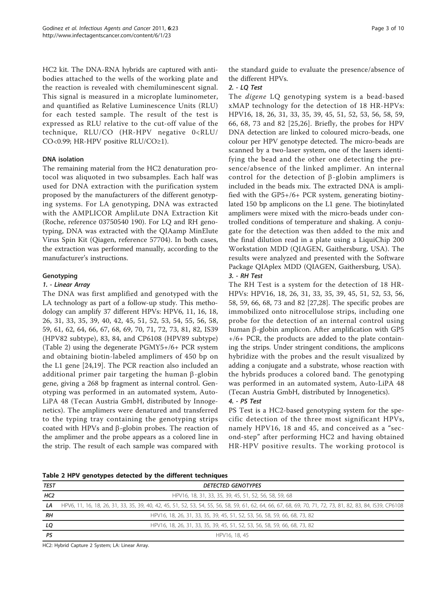HC2 kit. The DNA-RNA hybrids are captured with antibodies attached to the wells of the working plate and the reaction is revealed with chemiluminescent signal. This signal is measured in a microplate luminometer, and quantified as Relative Luminescence Units (RLU) for each tested sample. The result of the test is expressed as RLU relative to the cut-off value of the technique, RLU/CO (HR-HPV negative 0<RLU/ CO<0.99; HR-HPV positive RLU/CO≥1).

#### DNA isolation

The remaining material from the HC2 denaturation protocol was aliquoted in two subsamples. Each half was used for DNA extraction with the purification system proposed by the manufacturers of the different genotyping systems. For LA genotyping, DNA was extracted with the AMPLICOR AmpliLute DNA Extraction Kit (Roche, reference 03750540 190). For LQ and RH genotyping, DNA was extracted with the QIAamp MinElute Virus Spin Kit (Qiagen, reference 57704). In both cases, the extraction was performed manually, according to the manufacturer's instructions.

#### Genotyping

#### 1. - Linear Array

The DNA was first amplified and genotyped with the LA technology as part of a follow-up study. This methodology can amplify 37 different HPVs: HPV6, 11, 16, 18, 26, 31, 33, 35, 39, 40, 42, 45, 51, 52, 53, 54, 55, 56, 58, 59, 61, 62, 64, 66, 67, 68, 69, 70, 71, 72, 73, 81, 82, IS39 (HPV82 subtype), 83, 84, and CP6108 (HPV89 subtype) (Table 2) using the degenerate PGMY5+/6+ PCR system and obtaining biotin-labeled amplimers of 450 bp on the L1 gene [[24,19\]](#page-8-0). The PCR reaction also included an additional primer pair targeting the human  $\beta$ -globin gene, giving a 268 bp fragment as internal control. Genotyping was performed in an automated system, Auto-LiPA 48 (Tecan Austria GmbH, distributed by Innogenetics). The amplimers were denatured and transferred to the typing tray containing the genotyping strips coated with HPVs and  $\beta$ -globin probes. The reaction of the amplimer and the probe appears as a colored line in the strip. The result of each sample was compared with the standard guide to evaluate the presence/absence of the different HPVs.

# 2. - LQ Test

The digene LQ genotyping system is a bead-based xMAP technology for the detection of 18 HR-HPVs: HPV16, 18, 26, 31, 33, 35, 39, 45, 51, 52, 53, 56, 58, 59, 66, 68, 73 and 82 [\[25,26](#page-8-0)]. Briefly, the probes for HPV DNA detection are linked to coloured micro-beads, one colour per HPV genotype detected. The micro-beads are scanned by a two-laser system, one of the lasers identifying the bead and the other one detecting the presence/absence of the linked amplimer. An internal control for the detection of  $\beta$ -globin amplimers is included in the beads mix. The extracted DNA is amplified with the GP5+/6+ PCR system, generating biotinylated 150 bp amplicons on the L1 gene. The biotinylated amplimers were mixed with the micro-beads under controlled conditions of temperature and shaking. A conjugate for the detection was then added to the mix and the final dilution read in a plate using a LiquiChip 200 Workstation MDD (QIAGEN, Gaithersburg, USA). The results were analyzed and presented with the Software Package QIAplex MDD (QIAGEN, Gaithersburg, USA). 3. - RH Test

The RH Test is a system for the detection of 18 HR-HPVs: HPV16, 18, 26, 31, 33, 35, 39, 45, 51, 52, 53, 56, 58, 59, 66, 68, 73 and 82 [[27,28](#page-8-0)]. The specific probes are immobilized onto nitrocellulose strips, including one probe for the detection of an internal control using human  $\beta$ -globin amplicon. After amplification with GP5  $+$ /6+ PCR, the products are added to the plate containing the strips. Under stringent conditions, the amplicons hybridize with the probes and the result visualized by adding a conjugate and a substrate, whose reaction with the hybrids produces a colored band. The genotyping was performed in an automated system, Auto-LiPA 48 (Tecan Austria GmbH, distributed by Innogenetics).

# 4. - PS Test

PS Test is a HC2-based genotyping system for the specific detection of the three most significant HPVs, namely HPV16, 18 and 45, and conceived as a "second-step" after performing HC2 and having obtained HR-HPV positive results. The working protocol is

|  |  | Table 2 HPV genotypes detected by the different techniques |  |  |  |  |
|--|--|------------------------------------------------------------|--|--|--|--|
|--|--|------------------------------------------------------------|--|--|--|--|

|                 | - -                                                                                                                                                        |
|-----------------|------------------------------------------------------------------------------------------------------------------------------------------------------------|
| <b>TEST</b>     | <b>DETECTED GENOTYPES</b>                                                                                                                                  |
| HC <sub>2</sub> | HPV16, 18, 31, 33, 35, 39, 45, 51, 52, 56, 58, 59, 68                                                                                                      |
| LA              | HPV6, 11, 16, 18, 26, 31, 33, 35, 39, 40, 42, 45, 51, 52, 53, 54, 55, 56, 58, 59, 61, 62, 64, 66, 67, 68, 69, 70, 71, 72, 73, 81, 82, 83, 84, IS39, CP6108 |
| RH              | HPV16, 18, 26, 31, 33, 35, 39, 45, 51, 52, 53, 56, 58, 59, 66, 68, 73, 82                                                                                  |
| LQ              | HPV16, 18, 26, 31, 33, 35, 39, 45, 51, 52, 53, 56, 58, 59, 66, 68, 73, 82                                                                                  |
| PS              | HPV16, 18, 45                                                                                                                                              |

HC2: Hybrid Capture 2 System; LA: Linear Array.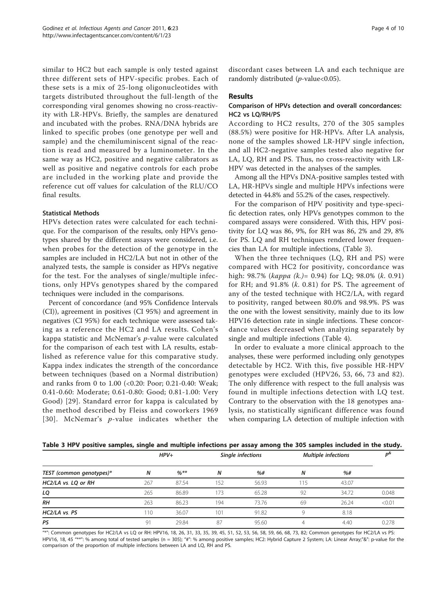<span id="page-3-0"></span>similar to HC2 but each sample is only tested against three different sets of HPV-specific probes. Each of these sets is a mix of 25-long oligonucleotides with targets distributed throughout the full-length of the corresponding viral genomes showing no cross-reactivity with LR-HPVs. Briefly, the samples are denatured and incubated with the probes. RNA/DNA hybrids are linked to specific probes (one genotype per well and sample) and the chemiluminiscent signal of the reaction is read and measured by a luminometer. In the same way as HC2, positive and negative calibrators as well as positive and negative controls for each probe are included in the working plate and provide the reference cut off values for calculation of the RLU/CO final results.

# Statistical Methods

HPVs detection rates were calculated for each technique. For the comparison of the results, only HPVs genotypes shared by the different assays were considered, i.e. when probes for the detection of the genotype in the samples are included in HC2/LA but not in other of the analyzed tests, the sample is consider as HPVs negative for the test. For the analyses of single/multiple infections, only HPVs genotypes shared by the compared techniques were included in the comparisons.

Percent of concordance (and 95% Confidence Intervals (CI)), agreement in positives (CI 95%) and agreement in negatives (CI 95%) for each technique were assessed taking as a reference the HC2 and LA results. Cohen's kappa statistic and McNemar's p-value were calculated for the comparison of each test with LA results, established as reference value for this comparative study. Kappa index indicates the strength of the concordance between techniques (based on a Normal distribution) and ranks from 0 to 1.00 (<0.20: Poor; 0.21-0.40: Weak; 0.41-0.60: Moderate; 0.61-0.80: Good; 0.81-1.00: Very Good) [[29](#page-8-0)]. Standard error for kappa is calculated by the method described by Fleiss and coworkers 1969 [[30](#page-8-0)]. McNemar's p-value indicates whether the discordant cases between LA and each technique are randomly distributed ( $p$ -value<0.05).

#### Results

# Comparison of HPVs detection and overall concordances: HC2 vs LQ/RH/PS

According to HC2 results, 270 of the 305 samples (88.5%) were positive for HR-HPVs. After LA analysis, none of the samples showed LR-HPV single infection, and all HC2-negative samples tested also negative for LA, LQ, RH and PS. Thus, no cross-reactivity with LR-HPV was detected in the analyses of the samples.

Among all the HPVs DNA-positive samples tested with LA, HR-HPVs single and multiple HPVs infections were detected in 44.8% and 55.2% of the cases, respectively.

For the comparison of HPV positivity and type-specific detection rates, only HPVs genotypes common to the compared assays were considered. With this, HPV positivity for LQ was 86, 9%, for RH was 86, 2% and 29, 8% for PS. LQ and RH techniques rendered lower frequencies than LA for multiple infections, (Table 3).

When the three techniques (LQ, RH and PS) were compared with HC2 for positivity, concordance was high: 98.7% (*kappa* (*k*.)= 0.94) for LQ; 98.0% (*k*. 0.91) for RH; and  $91.8\%$  (k. 0.81) for PS. The agreement of any of the tested technique with HC2/LA, with regard to positivity, ranged between 80.0% and 98.9%. PS was the one with the lowest sensitivity, mainly due to its low HPV16 detection rate in single infections. These concordance values decreased when analyzing separately by single and multiple infections (Table [4](#page-4-0)).

In order to evaluate a more clinical approach to the analyses, these were performed including only genotypes detectable by HC2. With this, five possible HR-HPV genotypes were excluded (HPV26, 53, 66, 73 and 82). The only difference with respect to the full analysis was found in multiple infections detection with LQ test. Contrary to the observation with the 18 genotypes analysis, no statistically significant difference was found when comparing LA detection of multiple infection with

| Table 3 HPV positive samples, single and multiple infections per assay among the 305 samples included in the study. |  |
|---------------------------------------------------------------------------------------------------------------------|--|
|---------------------------------------------------------------------------------------------------------------------|--|

|                          |     | $HPV+$ |     | Single infections | <b>Multiple infections</b> | D <sup>&amp;</sup> |        |
|--------------------------|-----|--------|-----|-------------------|----------------------------|--------------------|--------|
| TEST (common genotypes)* | N   | $%$ ** | N   | %#                | N                          | %#                 |        |
| HC2/LA vs. LQ or RH      | 267 | 87.54  | 152 | 56.93             | 115                        | 43.07              |        |
| LQ                       | 265 | 86.89  | 173 | 65.28             | 92                         | 34.72              | 0.048  |
| <b>RH</b>                | 263 | 86.23  | 194 | 73.76             | 69                         | 26.24              | < 0.01 |
| HC2/LA vs. PS            | 110 | 36.07  | 101 | 91.82             | Q                          | 8.18               |        |
| PS                       | 91  | 29.84  | 87  | 95.60             | 4                          | 4.40               | 0.278  |

"\*": Common genotypes for HC2/LA vs LQ or RH: HPV16, 18, 26, 31, 33, 35, 39, 45, 51, 52, 53, 56, 58, 59, 66, 68, 73, 82; Common genotypes for HC2/LA vs PS: HPV16, 18, 45 "\*\*": % among total of tested samples (n = 305); "#": % among positive samples; HC2: Hybrid Capture 2 System; LA: Linear Array;"&": p-value for the comparison of the proportion of multiple infections between LA and LQ, RH and PS.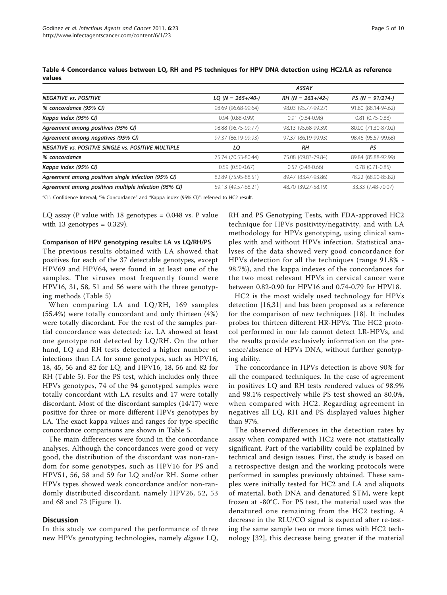|                                                           |                     | <b>ASSAY</b>        |                        |
|-----------------------------------------------------------|---------------------|---------------------|------------------------|
| <b>NEGATIVE vs. POSITIVE</b>                              | $LQ$ (N = 265+/40-) | $RH (N = 263+/42-)$ | $PS (N = 91/214-)$     |
| % concordance (95% CI)                                    | 98.69 (96.68-99.64) | 98.03 (95.77-99.27) | 91.80 (88.14-94.62)    |
| Kappa index (95% CI)                                      | $0.94(0.88-0.99)$   | $0.91(0.84 - 0.98)$ | $0.81$ $(0.75 - 0.88)$ |
| Agreement among positives (95% CI)                        | 98.88 (96.75-99.77) | 98.13 (95.68-99.39) | 80.00 (71.30-87.02)    |
| Agreement among negatives (95% CI)                        | 97.37 (86.19-99.93) | 97.37 (86.19-99.93) | 98.46 (95.57-99.68)    |
| <b>NEGATIVE VS. POSITIVE SINGLE VS. POSITIVE MULTIPLE</b> | LQ                  | <b>RH</b>           | PS                     |
| % concordance                                             | 75.74 (70.53-80.44) | 75.08 (69.83-79.84) | 89.84 (85.88-92.99)    |
| Kappa index (95% CI)                                      | $0.59(0.50-0.67)$   | $0.57(0.48-0.66)$   | $0.78$ $(0.71 - 0.85)$ |
| Agreement among positives single infection (95% CI)       | 82.89 (75.95-88.51) | 89.47 (83.47-93.86) | 78.22 (68.90-85.82)    |
| Agreement among positives multiple infection (95% CI)     | 59.13 (49.57-68.21) | 48.70 (39.27-58.19) | 33.33 (7.48-70.07)     |

<span id="page-4-0"></span>Table 4 Concordance values between LQ, RH and PS techniques for HPV DNA detection using HC2/LA as reference values

"CI": Confidence Interval; "% Concordance" and "Kappa index (95% CI)": referred to HC2 result.

LQ assay (P value with 18 genotypes = 0.048 vs. P value with 13 genotypes  $= 0.329$ ).

#### Comparison of HPV genotyping results: LA vs LQ/RH/PS

The previous results obtained with LA showed that positives for each of the 37 detectable genotypes, except HPV69 and HPV64, were found in at least one of the samples. The viruses most frequently found were HPV16, 31, 58, 51 and 56 were with the three genotyping methods (Table [5\)](#page-5-0)

When comparing LA and LQ/RH, 169 samples (55.4%) were totally concordant and only thirteen (4%) were totally discordant. For the rest of the samples partial concordance was detected: i.e. LA showed at least one genotype not detected by LQ/RH. On the other hand, LQ and RH tests detected a higher number of infections than LA for some genotypes, such as HPV16, 18, 45, 56 and 82 for LQ; and HPV16, 18, 56 and 82 for RH (Table [5](#page-5-0)). For the PS test, which includes only three HPVs genotypes, 74 of the 94 genotyped samples were totally concordant with LA results and 17 were totally discordant. Most of the discordant samples (14/17) were positive for three or more different HPVs genotypes by LA. The exact kappa values and ranges for type-specific concordance comparisons are shown in Table [5.](#page-5-0)

The main differences were found in the concordance analyses. Although the concordances were good or very good, the distribution of the discordant was non-random for some genotypes, such as HPV16 for PS and HPV51, 56, 58 and 59 for LQ and/or RH. Some other HPVs types showed weak concordance and/or non-randomly distributed discordant, namely HPV26, 52, 53 and 68 and 73 (Figure [1](#page-6-0)).

#### **Discussion**

In this study we compared the performance of three new HPVs genotyping technologies, namely digene LQ,

RH and PS Genotyping Tests, with FDA-approved HC2 technique for HPVs positivity/negativity, and with LA methodology for HPVs genotyping, using clinical samples with and without HPVs infection. Statistical analyses of the data showed very good concordance for HPVs detection for all the techniques (range 91.8% - 98.7%), and the kappa indexes of the concordances for the two most relevant HPVs in cervical cancer were between 0.82-0.90 for HPV16 and 0.74-0.79 for HPV18.

HC2 is the most widely used technology for HPVs detection [\[16,31\]](#page-8-0) and has been proposed as a reference for the comparison of new techniques [\[18\]](#page-8-0). It includes probes for thirteen different HR-HPVs. The HC2 protocol performed in our lab cannot detect LR-HPVs, and the results provide exclusively information on the presence/absence of HPVs DNA, without further genotyping ability.

The concordance in HPVs detection is above 90% for all the compared techniques. In the case of agreement in positives LQ and RH tests rendered values of 98.9% and 98.1% respectively while PS test showed an 80.0%, when compared with HC2. Regarding agreement in negatives all LQ, RH and PS displayed values higher than 97%.

The observed differences in the detection rates by assay when compared with HC2 were not statistically significant. Part of the variability could be explained by technical and design issues. First, the study is based on a retrospective design and the working protocols were performed in samples previously obtained. These samples were initially tested for HC2 and LA and aliquots of material, both DNA and denatured STM, were kept frozen at -80°C. For PS test, the material used was the denatured one remaining from the HC2 testing. A decrease in the RLU/CO signal is expected after re-testing the same sample two or more times with HC2 technology [[32](#page-8-0)], this decrease being greater if the material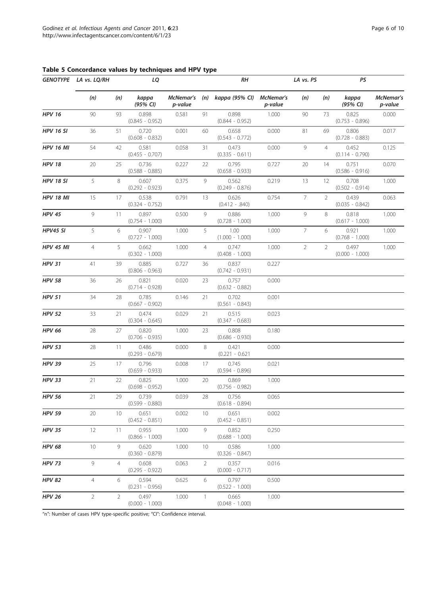|                  | GENOTYPE LA vs. LQ/RH |                 | LQ                         |                      |                 | RΗ                         |                      | LA vs. PS      |                | PS                         |                      |
|------------------|-----------------------|-----------------|----------------------------|----------------------|-----------------|----------------------------|----------------------|----------------|----------------|----------------------------|----------------------|
|                  | (n)                   | (n)             | kappa<br>(95% CI)          | McNemar's<br>p-value | (n)             | kappa (95% CI)             | McNemar's<br>p-value | (n)            | (n)            | kappa<br>(95% CI)          | McNemar's<br>p-value |
| <b>HPV 16</b>    | 90                    | 93              | 0.898<br>$(0.845 - 0.952)$ | 0.581                | 91              | 0.898<br>$(0.844 - 0.952)$ | 1.000                | 90             | 73             | 0.825<br>$(0.753 - 0.896)$ | 0.000                |
| <b>HPV 16 SI</b> | 36                    | 51              | 0.720<br>$(0.608 - 0.832)$ | 0.001                | 60              | 0.658<br>$(0.543 - 0.772)$ | 0.000                | 81             | 69             | 0.806<br>$(0.728 - 0.883)$ | 0.017                |
| <b>HPV 16 MI</b> | 54                    | 42              | 0.581<br>$(0.455 - 0.707)$ | 0.058                | 31              | 0.473<br>$(0.335 - 0.611)$ | 0.000                | 9              | $\overline{4}$ | 0.452<br>$(0.114 - 0.790)$ | 0.125                |
| <b>HPV 18</b>    | 20                    | 25              | 0.736<br>$(0.588 - 0.885)$ | 0.227                | 22              | 0.795<br>$(0.658 - 0.933)$ | 0.727                | 20             | 14             | 0.751<br>$(0.586 - 0.916)$ | 0.070                |
| <b>HPV 18 SI</b> | 5                     | 8               | 0.607<br>$(0.292 - 0.923)$ | 0.375                | 9               | 0.562<br>$(0.249 - 0.876)$ | 0.219                | 13             | 12             | 0.708<br>$(0.502 - 0.914)$ | 1.000                |
| <b>HPV 18 MI</b> | 15                    | 17              | 0.538<br>$(0.324 - 0.752)$ | 0.791                | 13              | 0.626<br>$(0.412 - .840)$  | 0.754                | 7              | $\overline{2}$ | 0.439<br>$(0.035 - 0.842)$ | 0.063                |
| <b>HPV 45</b>    | 9                     | 11              | 0.897<br>$(0.754 - 1.000)$ | 0.500                | 9               | 0.886<br>$(0.728 - 1.000)$ | 1.000                | 9              | 8              | 0.818<br>$(0.617 - 1.000)$ | 1.000                |
| HPV45 SI         | 5                     | 6               | 0.907<br>$(0.727 - 1.000)$ | 1.000                | 5               | 1.00<br>$(1.000 - 1.000)$  | 1.000                | 7              | 6              | 0.921<br>$(0.768 - 1.000)$ | 1.000                |
| <b>HPV 45 MI</b> | $\overline{4}$        | 5               | 0.662<br>$(0.302 - 1.000)$ | 1.000                | $\overline{4}$  | 0.747<br>$(0.408 - 1.000)$ | 1.000                | $\overline{2}$ | $\overline{2}$ | 0.497<br>$(0.000 - 1.000)$ | 1.000                |
| <b>HPV 31</b>    | 41                    | 39              | 0.885<br>$(0.806 - 0.963)$ | 0.727                | 36              | 0.837<br>$(0.742 - 0.931)$ | 0.227                |                |                |                            |                      |
| <b>HPV 58</b>    | 36                    | 26              | 0.821<br>$(0.714 - 0.928)$ | 0.020                | 23              | 0.757<br>$(0.632 - 0.882)$ | 0.000                |                |                |                            |                      |
| <b>HPV 51</b>    | 34                    | 28              | 0.785<br>$(0.667 - 0.902)$ | 0.146                | 21              | 0.702<br>$(0.561 - 0.843)$ | 0.001                |                |                |                            |                      |
| <b>HPV 52</b>    | 33                    | 21              | 0.474<br>$(0.304 - 0.645)$ | 0.029                | 21              | 0.515<br>$(0.347 - 0.683)$ | 0.023                |                |                |                            |                      |
| <b>HPV 66</b>    | 28                    | 27              | 0.820<br>$(0.706 - 0.935)$ | 1.000                | 23              | 0.808<br>$(0.686 - 0.930)$ | 0.180                |                |                |                            |                      |
| <b>HPV 53</b>    | 28                    | 11              | 0.486<br>$(0.293 - 0.679)$ | 0.000                | 8               | 0.421<br>$(0.221 - 0.621)$ | 0.000                |                |                |                            |                      |
| <b>HPV 39</b>    | 25                    | 17              | 0.796<br>$(0.659 - 0.933)$ | 0.008                | 17              | 0.745<br>$(0.594 - 0.896)$ | 0.021                |                |                |                            |                      |
| <b>HPV 33</b>    | 21                    | 22              | 0.825<br>$(0.698 - 0.952)$ | 1.000                | 20              | 0.869<br>$(0.756 - 0.982)$ | 1.000                |                |                |                            |                      |
| <b>HPV 56</b>    | 21                    | 29              | 0.739<br>$(0.599 - 0.880)$ | 0.039                | 28              | 0.756<br>$(0.618 - 0.894)$ | 0.065                |                |                |                            |                      |
| <b>HPV 59</b>    | 20                    | 10 <sup>°</sup> | 0.651<br>$(0.452 - 0.851)$ | 0.002                | 10 <sup>2</sup> | 0.651<br>$(0.452 - 0.851)$ | 0.002                |                |                |                            |                      |
| <b>HPV 35</b>    | 12                    | 11              | 0.955<br>$(0.866 - 1.000)$ | 1.000                | 9               | 0.852<br>$(0.688 - 1.000)$ | 0.250                |                |                |                            |                      |
| <b>HPV 68</b>    | 10                    | 9               | 0.620<br>$(0.360 - 0.879)$ | 1.000                | 10              | 0.586<br>$(0.326 - 0.847)$ | 1.000                |                |                |                            |                      |
| <b>HPV 73</b>    | 9                     | $\overline{4}$  | 0.608<br>$(0.295 - 0.922)$ | 0.063                | $\overline{2}$  | 0.357<br>$(0.000 - 0.717)$ | 0.016                |                |                |                            |                      |
| <b>HPV 82</b>    | $\overline{4}$        | 6               | 0.594<br>$(0.231 - 0.956)$ | 0.625                | 6               | 0.797<br>$(0.522 - 1.000)$ | 0.500                |                |                |                            |                      |
| <b>HPV 26</b>    | $\overline{2}$        | 2               | 0.497<br>$(0.000 - 1.000)$ | 1.000                | 1               | 0.665<br>$(0.048 - 1.000)$ | 1.000                |                |                |                            |                      |

<span id="page-5-0"></span>Table 5 Concordance values by techniques and HPV type

"n": Number of cases HPV type-specific positive; "CI": Confidence interval.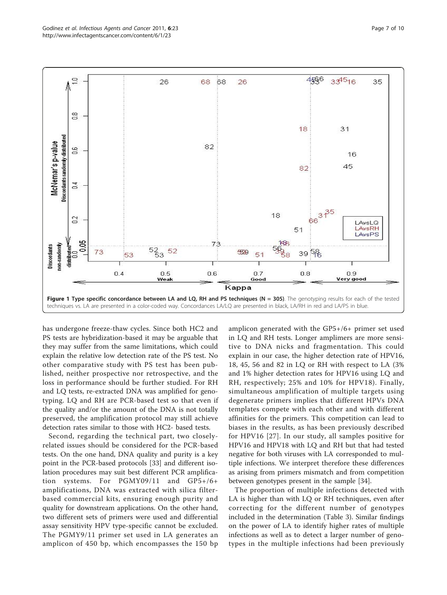<span id="page-6-0"></span>

has undergone freeze-thaw cycles. Since both HC2 and PS tests are hybridization-based it may be arguable that they may suffer from the same limitations, which could explain the relative low detection rate of the PS test. No other comparative study with PS test has been published, neither prospective nor retrospective, and the loss in performance should be further studied. For RH and LQ tests, re-extracted DNA was amplified for genotyping. LQ and RH are PCR-based test so that even if the quality and/or the amount of the DNA is not totally preserved, the amplification protocol may still achieve detection rates similar to those with HC2- based tests.

Second, regarding the technical part, two closelyrelated issues should be considered for the PCR-based tests. On the one hand, DNA quality and purity is a key point in the PCR-based protocols [\[33](#page-8-0)] and different isolation procedures may suit best different PCR amplification systems. For PGMY09/11 and GP5+/6+ amplifications, DNA was extracted with silica filterbased commercial kits, ensuring enough purity and quality for downstream applications. On the other hand, two different sets of primers were used and differential assay sensitivity HPV type-specific cannot be excluded. The PGMY9/11 primer set used in LA generates an amplicon of 450 bp, which encompasses the 150 bp

amplicon generated with the GP5+/6+ primer set used in LQ and RH tests. Longer amplimers are more sensitive to DNA nicks and fragmentation. This could explain in our case, the higher detection rate of HPV16, 18, 45, 56 and 82 in LQ or RH with respect to LA (3% and 1% higher detection rates for HPV16 using LQ and RH, respectively; 25% and 10% for HPV18). Finally, simultaneous amplification of multiple targets using degenerate primers implies that different HPVs DNA templates compete with each other and with different affinities for the primers. This competition can lead to biases in the results, as has been previously described for HPV16 [\[27\]](#page-8-0). In our study, all samples positive for HPV16 and HPV18 with LQ and RH but that had tested negative for both viruses with LA corresponded to multiple infections. We interpret therefore these differences as arising from primers mismatch and from competition between genotypes present in the sample [\[34](#page-8-0)].

The proportion of multiple infections detected with LA is higher than with LQ or RH techniques, even after correcting for the different number of genotypes included in the determination (Table [3](#page-3-0)). Similar findings on the power of LA to identify higher rates of multiple infections as well as to detect a larger number of genotypes in the multiple infections had been previously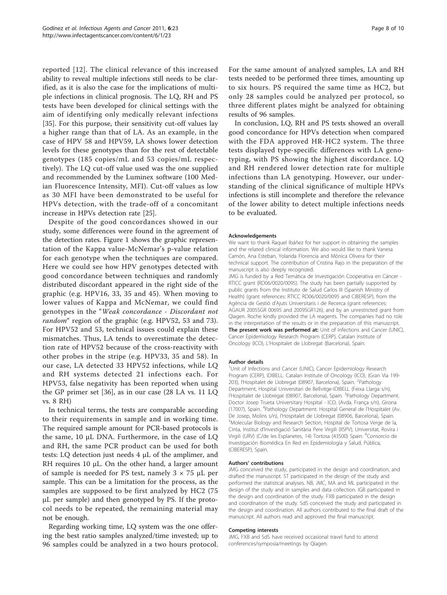reported [[12\]](#page-8-0). The clinical relevance of this increased ability to reveal multiple infections still needs to be clarified, as it is also the case for the implications of multiple infections in clinical prognosis. The LQ, RH and PS tests have been developed for clinical settings with the aim of identifying only medically relevant infections [[35\]](#page-9-0). For this purpose, their sensitivity cut-off values lay a higher range than that of LA. As an example, in the case of HPV 58 and HPV59, LA shows lower detection levels for these genotypes than for the rest of detectable genotypes (185 copies/mL and 53 copies/mL respectively). The LQ cut-off value used was the one supplied and recommended by the Luminex software (100 Median Fluorescence Intensity, MFI). Cut-off values as low as 30 MFI have been demonstrated to be useful for HPVs detection, with the trade-off of a concomitant increase in HPVs detection rate [[25](#page-8-0)].

Despite of the good concordances showed in our study, some differences were found in the agreement of the detection rates. Figure [1](#page-6-0) shows the graphic representation of the Kappa value-McNemar's p-value relation for each genotype when the techniques are compared. Here we could see how HPV genotypes detected with good concordance between techniques and randomly distributed discordant appeared in the right side of the graphic (e.g. HPV16, 33, 35 and 45). When moving to lower values of Kappa and McNemar, we could find genotypes in the "Weak concordance - Discordant not random" region of the graphic (e.g. HPV52, 53 and 73). For HPV52 and 53, technical issues could explain these mismatches. Thus, LA tends to overestimate the detection rate of HPV52 because of the cross-reactivity with other probes in the stripe (e.g. HPV33, 35 and 58). In our case, LA detected 33 HPV52 infections, while LQ and RH systems detected 21 infections each. For HPV53, false negativity has been reported when using the GP primer set [\[36](#page-9-0)], as in our case (28 LA vs. 11 LQ vs. 8 RH)

In technical terms, the tests are comparable according to their requirements in sample and in working time. The required sample amount for PCR-based protocols is the same, 10 μL DNA. Furthermore, in the case of LQ and RH, the same PCR product can be used for both tests: LQ detection just needs 4 μL of the amplimer, and RH requires 10  $\mu$ L. On the other hand, a larger amount of sample is needed for PS test, namely  $3 \times 75$  µL per sample. This can be a limitation for the process, as the samples are supposed to be first analyzed by HC2 (75 μL per sample) and then genotyped by PS. If the protocol needs to be repeated, the remaining material may not be enough.

Regarding working time, LQ system was the one offering the best ratio samples analyzed/time invested; up to 96 samples could be analyzed in a two hours protocol. For the same amount of analyzed samples, LA and RH tests needed to be performed three times, amounting up to six hours. PS required the same time as HC2, but only 28 samples could be analyzed per protocol, so three different plates might be analyzed for obtaining results of 96 samples.

In conclusion, LQ, RH and PS tests showed an overall good concordance for HPVs detection when compared with the FDA approved HR-HC2 system. The three tests displayed type-specific differences with LA genotyping, with PS showing the highest discordance. LQ and RH rendered lower detection rate for multiple infections than LA genotyping. However, our understanding of the clinical significance of multiple HPVs infections is still incomplete and therefore the relevance of the lower ability to detect multiple infections needs to be evaluated.

#### Acknowledgements

We want to thank Raquel Ibáñez for her support in obtaining the samples and the related clinical information. We also would like to thank Vanesa Camón, Ana Esteban, Yolanda Florencia and Mónica Olivera for their technical support. The contribution of Cristina Rajo in the preparation of the manuscript is also deeply recognized. JMG is funded by a Red Temática de Investigación Cooperativa en Cáncer - RTICC grant (RD06/0020/0095). The study has been partially supported by public grants from the Instituto de Salud Carlos III (Spanish Ministry of Health) (grant references: RTICC RD06/0020/0095 and CIBERESP), from the Agència de Gestió d'Ajuts Universitaris i de Recerca (grant references: AGAUR 2005SGR 00695 and 2009SGR126), and by an unrestricted grant from Qiagen. Roche kindly provided the LA reagents. The companies had no role in the interpretation of the results or in the preparation of this manuscript. The present work was performed at: Unit of Infections and Cancer (UNIC), Cancer Epidemiology Research Program (CERP), Catalan Institute of Oncology (ICO), L'Hospitalet de Llobregat (Barcelona), Spain.

#### Author details

<sup>1</sup>Unit of Infections and Cancer (UNIC), Cancer Epidemiology Research Program (CERP), IDIBELL. Catalan Institute of Oncology (ICO), (Gran Via 199- 203), l'Hospitalet de Llobregat (08907, Barcelona), Spain. <sup>2</sup>Pathology Department, Hospital Universitari de Bellvitge-IDIBELL (Feixa Llarga s/n), l'Hospitalet de Llobregat (08907, Barcelona), Spain. <sup>3</sup>Pathology Department. Doctor Josep Trueta Universitary Hospital - ICO, (Avda. França s/n), Girona (17007), Spain. <sup>4</sup>Pathology Department. Hospital General de l'Hospitalet (Av. De Josep, Molins s/n), l'Hospitalet de Llobregat (08906, Barcelona), Spain. Molecular Biology and Research Section, Hospital de Tortosa Verge de la, Cinta, Institut d'Investigació Sanitària Pere Virgili (IISPV), Universitat, Rovira i Virgili (URV) (C/de les Esplanetes, 14) Tortosa (43500) Spain. <sup>6</sup>Consorcio de Investigación Biomédica En Red en Epidemiología y Salud, Pública, (CIBERESP), Spain.

#### Authors' contributions

JMG conceived the study, participated in the design and coordination, and drafted the manuscript. ST participated in the design of the study and performed the statistical analyses. NB, JMC, MA and ML participated in the design of the study and in samples and data collection. IGB participated in the design and coordination of the study. FXB participated in the design and coordination of the study. SdS conceived the study and participated in the design and coordination. All authors contributed to the final draft of the manuscript. All authors read and approved the final manuscript.

#### Competing interests

JMG, FXB and SdS have received occasional travel fund to attend conferences/symposia/meetings by Qiagen.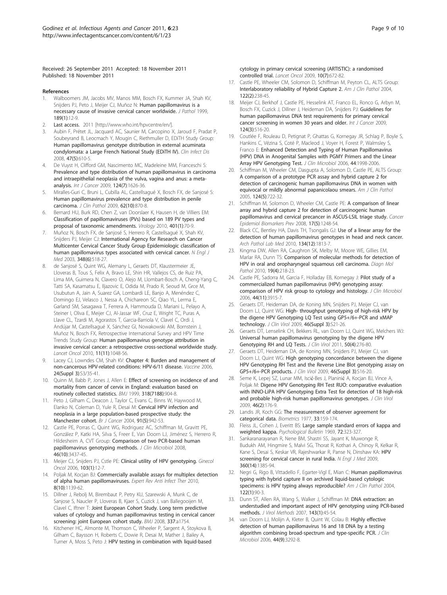<span id="page-8-0"></span>Received: 26 September 2011 Accepted: 18 November 2011 Published: 18 November 2011

#### References

- 1. Walboomers JM, Jacobs MV, Manos MM, Bosch FX, Kummer JA, Shah KV, Snijders PJ, Peto J, Meijer CJ, Muñoz N: [Human papillomavirus is a](http://www.ncbi.nlm.nih.gov/pubmed/10451482?dopt=Abstract) [necessary cause of invasive cervical cancer worldwide.](http://www.ncbi.nlm.nih.gov/pubmed/10451482?dopt=Abstract) J Pathol 1999, 189(1):12-9.
- Last access. 2011 [[http://www.who.int/hpvcentre/en/\]](http://www.who.int/hpvcentre/en/).
- 3. Aubin F, Prétet JL, Jacquard AC, Saunier M, Carcopino X, Jaroud F, Pradat P, Soubeyrand B, Leocmach Y, Mougin C, Riethmuller D, EDiTH Study Group: [Human papillomavirus genotype distribution in external acuminata](http://www.ncbi.nlm.nih.gov/pubmed/18637758?dopt=Abstract) [condylomata: a Large French National Study \(EDiTH IV\).](http://www.ncbi.nlm.nih.gov/pubmed/18637758?dopt=Abstract) Clin Infect Dis 2008, 47(5):610-5.
- 4. De Vuyst H, Clifford GM, Nascimento MC, Madeleine MM, Franceschi S: [Prevalence and type distribution of human papillomavirus in carcinoma](http://www.ncbi.nlm.nih.gov/pubmed/19115209?dopt=Abstract) [and intraepithelial neoplasia of the vulva, vagina and anus: a meta](http://www.ncbi.nlm.nih.gov/pubmed/19115209?dopt=Abstract)[analysis.](http://www.ncbi.nlm.nih.gov/pubmed/19115209?dopt=Abstract) Int J Cancer 2009, 124(7):1626-36.
- 5. Miralles-Guri C, Bruni L, Cubilla AL, Castellsagué X, Bosch FX, de Sanjosé S: [Human papillomavirus prevalence and type distribution in penile](http://www.ncbi.nlm.nih.gov/pubmed/19706632?dopt=Abstract) [carcinoma.](http://www.ncbi.nlm.nih.gov/pubmed/19706632?dopt=Abstract) J Clin Pathol 2009, 62(10):870-8.
- 6. Bernard HU, Burk RD, Chen Z, van Doorslaer K, Hausen H, de Villiers EM: [Classification of papillomaviruses \(PVs\) based on 189 PV types and](http://www.ncbi.nlm.nih.gov/pubmed/20206957?dopt=Abstract) [proposal of taxonomic amendments.](http://www.ncbi.nlm.nih.gov/pubmed/20206957?dopt=Abstract) Virology 2010, 401(1):70-9.
- 7. Muñoz N, Bosch FX, de Sanjosé S, Herrero R, Castellsagué X, Shah KV, Snijders PJ, Meijer CJ: [International Agency for Research on Cancer](http://www.ncbi.nlm.nih.gov/pubmed/12571259?dopt=Abstract) [Multicenter Cervical Cancer Study Group Epidemiologic classification of](http://www.ncbi.nlm.nih.gov/pubmed/12571259?dopt=Abstract) [human papillomavirus types associated with cervical cancer.](http://www.ncbi.nlm.nih.gov/pubmed/12571259?dopt=Abstract) N Engl J Med 2003, 348(6):518-27.
- de Sanjosé S, Quint WG, Alemany L, Geraets DT, Klaustermeier JE, Lloveras B, Tous S, Felix A, Bravo LE, Shin HR, Vallejos CS, de Ruiz PA, Lima MA, Guimera N, Clavero O, Alejo M, Llombart-Bosch A, Cheng-Yang C, Tatti SA, Kasamatsu E, Iljazovic E, Odida M, Prado R, Seoud M, Grce M, Usubutun A, Jain A, Suarez GA, Lombardi LE, Banjo A, Menéndez C, Domingo EJ, Velasco J, Nessa A, Chichareon SC, Qiao YL, Lerma E, Garland SM, Sasagawa T, Ferrera A, Hammouda D, Mariani L, Pelayo A, Steiner I, Oliva E, Meijer CJ, Al-Jassar WF, Cruz E, Wright TC, Puras A, Llave CL, Tzardi M, Agorastos T, Garcia-Barriola V, Clavel C, Ordi J, Andújar M, Castellsagué X, Sánchez GI, Nowakowski AM, Bornstein J, Muñoz N, Bosch FX, Retrospective International Survey and HPV Time Trends Study Group: [Human papillomavirus genotype attribution in](http://www.ncbi.nlm.nih.gov/pubmed/20952254?dopt=Abstract) [invasive cervical cancer: a retrospective cross-sectional worldwide study.](http://www.ncbi.nlm.nih.gov/pubmed/20952254?dopt=Abstract) Lancet Oncol 2010, 11(11):1048-56.
- 9. Lacey CJ, Lowndes CM, Shah KV: Chapter 4: Burden and management of non-cancerous HPV-related conditions: HPV-6/11 disease. Vaccine 2006, 24(Suppl 3):S3/35-41.
- 10. Quinn M, Babb P, Jones J, Allen E: [Effect of screening on incidence of and](http://www.ncbi.nlm.nih.gov/pubmed/10102852?dopt=Abstract) [mortality from cancer of cervix in England: evaluation based on](http://www.ncbi.nlm.nih.gov/pubmed/10102852?dopt=Abstract) [routinely collected statistics.](http://www.ncbi.nlm.nih.gov/pubmed/10102852?dopt=Abstract) BMJ 1999, 318(7188):904-8.
- 11. Peto J, Gilham C, Deacon J, Taylor C, Evans C, Binns W, Haywood M, Elanko N, Coleman D, Yule R, Desai M: [Cervical HPV infection and](http://www.ncbi.nlm.nih.gov/pubmed/15292939?dopt=Abstract) [neoplasia in a large population-based prospective study: the](http://www.ncbi.nlm.nih.gov/pubmed/15292939?dopt=Abstract) [Manchester cohort.](http://www.ncbi.nlm.nih.gov/pubmed/15292939?dopt=Abstract) Br J Cancer 2004, 91(5):942-53.
- 12. Castle PE, Porras C, Quint WG, Rodriguez AC, Schiffman M, Gravitt PE, González P, Katki HA, Silva S, Freer E, Van Doorn LJ, Jiménez S, Herrero R, Hildesheim A, CVT Group: [Comparison of two PCR-based human](http://www.ncbi.nlm.nih.gov/pubmed/18716224?dopt=Abstract) [papillomavirus genotyping methods.](http://www.ncbi.nlm.nih.gov/pubmed/18716224?dopt=Abstract) J Clin Microbiol 2008, 46(10):3437-45.
- 13. Meijer CJ, Snijders PJ, Cstle PE: Clinical utility of HPV genotyping. Ginecol Oncol 2006, 103(1):12-7.
- 14. Poljak M, Kocjan BJ: [Commercially available assays for multiplex detection](http://www.ncbi.nlm.nih.gov/pubmed/20954880?dopt=Abstract) [of alpha human papillomaviruses.](http://www.ncbi.nlm.nih.gov/pubmed/20954880?dopt=Abstract) Expert Rev Anti Infect Ther 2010, 8(10):1139-62.
- 15. Dillner J, Rebolj M, Birembaut P, Petry KU, Szarewski A, Munk C, de Sanjose S, Naucler P, Lloveras B, Kjaer S, Cuzick J, van Ballegooijen M, Clavel C, Iftner T: [Joint European Cohort Study. Long term predictive](http://www.ncbi.nlm.nih.gov/pubmed/18852164?dopt=Abstract) [values of cytology and human papillomavirus testing in cervical cancer](http://www.ncbi.nlm.nih.gov/pubmed/18852164?dopt=Abstract) [screening: joint European cohort study.](http://www.ncbi.nlm.nih.gov/pubmed/18852164?dopt=Abstract) BMJ 2008, 337:a1754.
- 16. Kitchener HC, Almonte M, Thomson C, Wheeler P, Sargent A, Stoykova B, Gilham C, Baysson H, Roberts C, Dowie R, Desai M, Mather J, Bailey A, Turner A, Moss S, Peto J: [HPV testing in combination with liquid-based](http://www.ncbi.nlm.nih.gov/pubmed/19540162?dopt=Abstract)

[cytology in primary cervical screening \(ARTISTIC\): a randomised](http://www.ncbi.nlm.nih.gov/pubmed/19540162?dopt=Abstract) [controlled trial.](http://www.ncbi.nlm.nih.gov/pubmed/19540162?dopt=Abstract) Lancet Oncol 2009, 10(7):672-82.

- 17. Castle PE, Wheeler CM, Solomon D, Schiffman M, Peyton CL, ALTS Group: [Interlaboratory reliability of Hybrid Capture 2.](http://www.ncbi.nlm.nih.gov/pubmed/15323141?dopt=Abstract) Am J Clin Pathol 2004, 122(2):238-45.
- 18. Meijer CJ, Berkhof J, Castle PE, Hesselink AT, Franco EL, Ronco G, Arbyn M, Bosch FX, Cuzick J, Dillner J, Heideman DA, Snijders PJ: [Guidelines for](http://www.ncbi.nlm.nih.gov/pubmed/18973271?dopt=Abstract) [human papillomavirus DNA test requirements for primary cervical](http://www.ncbi.nlm.nih.gov/pubmed/18973271?dopt=Abstract) [cancer screening in women 30 years and older.](http://www.ncbi.nlm.nih.gov/pubmed/18973271?dopt=Abstract) Int J Cancer 2009, 124(3):516-20.
- 19. Coutlée F, Rouleau D, Petignat P, Ghattas G, Kornegay JR, Schlag P, Boyle S, Hankins C, Vézina S, Coté P, Macleod J, Voyer H, Forest P, Walmsley S, Franco E: [Enhanced Detection and Typing of Human Papillomavirus](http://www.ncbi.nlm.nih.gov/pubmed/16757590?dopt=Abstract) [\(HPV\) DNA in Anogenital Samples with PGMY Primers and the Linear](http://www.ncbi.nlm.nih.gov/pubmed/16757590?dopt=Abstract) [Array HPV Genotyping Test.](http://www.ncbi.nlm.nih.gov/pubmed/16757590?dopt=Abstract) J Clin Microbiol 2006, 44:1998-2006.
- 20. Schiffman M, Wheeler CM, Dasgupta A, Solomon D, Castle PE, ALTS Group: [A comparison of a prototype PCR assay and hybrid capture 2 for](http://www.ncbi.nlm.nih.gov/pubmed/16203281?dopt=Abstract) [detection of carcinogenic human papillomavirus DNA in women with](http://www.ncbi.nlm.nih.gov/pubmed/16203281?dopt=Abstract) [equivocal or mildly abnormal papanicolaou smears.](http://www.ncbi.nlm.nih.gov/pubmed/16203281?dopt=Abstract) Am J Clin Pathol 2005, 124(5):722-32.
- 21. Schiffman M, Solomon D, Wheeler CM, Castle PE: [A comparison of linear](http://www.ncbi.nlm.nih.gov/pubmed/18483347?dopt=Abstract) [array and hybrid capture 2 for detection of carcinogenic human](http://www.ncbi.nlm.nih.gov/pubmed/18483347?dopt=Abstract) [papillomavirus and cervical precancer in ASCUS-LSIL triage study.](http://www.ncbi.nlm.nih.gov/pubmed/18483347?dopt=Abstract) Cancer Epidemiol Biomarkers Prev 2008, 17(5):1248-54.
- 22. Black CC, Bentley HA, Davis TH, Tsongalis GJ: [Use of a linear array for the](http://www.ncbi.nlm.nih.gov/pubmed/21128780?dopt=Abstract) [detection of human papillomavirus genotypes in head and neck cancer.](http://www.ncbi.nlm.nih.gov/pubmed/21128780?dopt=Abstract) Arch Pathol Lab Med 2010, 134(12):1813-7.
- 23. Kingma DW, Allen RA, Caughron SK, Melby M, Moore WE, Gillies EM, Marlar RA, Dunn TS: [Comparison of molecular methods for detection of](http://www.ncbi.nlm.nih.gov/pubmed/21051999?dopt=Abstract) [HPV in oral and oropharyngeal squamous cell carcinoma.](http://www.ncbi.nlm.nih.gov/pubmed/21051999?dopt=Abstract) Diagn Mol Pathol 2010, 19(4):218-23.
- 24. Castle PE, Sadorra M, Garcia F, Holladay EB, Kornegay J: [Pilot study of a](http://www.ncbi.nlm.nih.gov/pubmed/16971652?dopt=Abstract) [commercialized human papillomavirus \(HPV\) genotyping assay:](http://www.ncbi.nlm.nih.gov/pubmed/16971652?dopt=Abstract) [comparison of HPV risk group to cytology and histology.](http://www.ncbi.nlm.nih.gov/pubmed/16971652?dopt=Abstract) J Clin Microbiol 2006, 44(11):3915-7.
- 25. Geraets DT, Heideman DA, de Koning MN, Snijders PJ, Meijer CJ, van Doorn LJ, Quint WG: [High- throughput genotyping of high-risk HPV by](http://www.ncbi.nlm.nih.gov/pubmed/20129070?dopt=Abstract) [the digene HPV Genotyping LQ Test using GP5+/6+-PCR and xMAP](http://www.ncbi.nlm.nih.gov/pubmed/20129070?dopt=Abstract) [technology.](http://www.ncbi.nlm.nih.gov/pubmed/20129070?dopt=Abstract) J Clin Virol 2009, 46(Suppl 3):S21-26.
- 26. Geraets DT, Lenselink CH, Bekkers RL, van Doorn LJ, Quint WG, Melchers WJ: [Universal human papillomavirus genotyping by the digene HPV](http://www.ncbi.nlm.nih.gov/pubmed/21296612?dopt=Abstract) [Genotyping RH and LQ Tests.](http://www.ncbi.nlm.nih.gov/pubmed/21296612?dopt=Abstract) J Clin Virol 2011, 50(4):276-80.
- 27. Geraets DT, Heideman DA, de Koning MN, Snijders PJ, Meijer CJ, van Doorn LJ, Quint WG: [High genotyping concordance between the digene](http://www.ncbi.nlm.nih.gov/pubmed/20129069?dopt=Abstract) [HPV Genotyping RH Test and the Reverse Line Blot genotyping assay on](http://www.ncbi.nlm.nih.gov/pubmed/20129069?dopt=Abstract) [GP5+/6+-PCR products.](http://www.ncbi.nlm.nih.gov/pubmed/20129069?dopt=Abstract) J Clin Virol 2009, 46(Suppl 3):S16-20.
- 28. Seme K, Lepej SZ, Lunar MM, Iscić-Bes J, Planinić A, Kocjan BJ, Vince A, Poljak M: [Digene HPV Genotyping RH Test RUO: comparative evaluation](http://www.ncbi.nlm.nih.gov/pubmed/19683958?dopt=Abstract) [with INNO-LiPA HPV Genotyping Extra Test for detection of 18 high-risk](http://www.ncbi.nlm.nih.gov/pubmed/19683958?dopt=Abstract) [and probable high-risk human papillomavirus genotypes.](http://www.ncbi.nlm.nih.gov/pubmed/19683958?dopt=Abstract) J Clin Virol 2009, 46(2):176-9.
- 29. Landis JR, Koch GG: [The measurement of observer agreement for](http://www.ncbi.nlm.nih.gov/pubmed/843571?dopt=Abstract) [categorical data.](http://www.ncbi.nlm.nih.gov/pubmed/843571?dopt=Abstract) Biometrics 1977, 33:159-174.
- 30. Fleiss JL, Cohen J, Everitt BS: Large sample standard errors of kappa and weighted kappa. Psychological Bulletin 1969, 72:323-327.
- 31. Sankaranarayanan R, Nene BM, Shastri SS, Jayant K, Muwonge R, Budukh AM, Hingmire S, Malvi SG, Thorat R, Kothari A, Chinoy R, Kelkar R, Kane S, Desai S, Keskar VR, Rajeshwarkar R, Panse N, Dinshaw KA: [HPV](http://www.ncbi.nlm.nih.gov/pubmed/19339719?dopt=Abstract) [screening for cervical cancer in rural India.](http://www.ncbi.nlm.nih.gov/pubmed/19339719?dopt=Abstract) N Engl J Med 2009, 360(14):1385-94.
- 32. Negri G, Rigo B, Vittadello F, Egarter-Vigl E, Mian C: [Human papillomavirus](http://www.ncbi.nlm.nih.gov/pubmed/15272535?dopt=Abstract) [typing with hybrid capture II on archived liquid-based cytologic](http://www.ncbi.nlm.nih.gov/pubmed/15272535?dopt=Abstract) [specimens: is HPV typing always reproducible?](http://www.ncbi.nlm.nih.gov/pubmed/15272535?dopt=Abstract) Am J Clin Pathol 2004, 122(1):90-3.
- 33. Dunn ST, Allen RA, Wang S, Walker J, Schiffman M: [DNA extraction: an](http://www.ncbi.nlm.nih.gov/pubmed/17399803?dopt=Abstract) [understudied and important aspect of HPV genotyping using PCR-based](http://www.ncbi.nlm.nih.gov/pubmed/17399803?dopt=Abstract) [methods.](http://www.ncbi.nlm.nih.gov/pubmed/17399803?dopt=Abstract) J Virol Methods 2007, 143(1):45-54.
- 34. van Doorn LJ, Molijn A, Kleter B, Quint W, Colau B: [Highly effective](http://www.ncbi.nlm.nih.gov/pubmed/16954263?dopt=Abstract) [detection of human papillomavirus 16 and 18 DNA by a testing](http://www.ncbi.nlm.nih.gov/pubmed/16954263?dopt=Abstract) [algorithm combining broad-spectrum and type-specific PCR.](http://www.ncbi.nlm.nih.gov/pubmed/16954263?dopt=Abstract) J Clin Microbiol 2006, 44(9):3292-8.